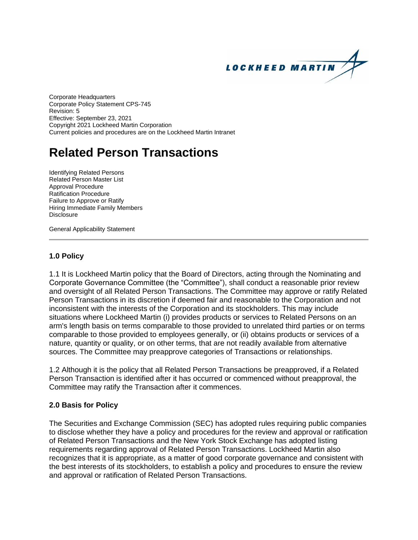

Corporate Headquarters Corporate Policy Statement CPS-745 Revision: 5 Effective: September 23, 2021 Copyright 2021 Lockheed Martin Corporation Current policies and procedures are on the Lockheed Martin Intranet

# **Related Person Transactions**

Identifying Related Persons Related Person Master List Approval Procedure Ratification Procedure Failure to Approve or Ratify Hiring Immediate Family Members **Disclosure** 

General Applicability Statement

# **1.0 Policy**

1.1 It is Lockheed Martin policy that the Board of Directors, acting through the Nominating and Corporate Governance Committee (the "Committee"), shall conduct a reasonable prior review and oversight of all Related Person Transactions. The Committee may approve or ratify Related Person Transactions in its discretion if deemed fair and reasonable to the Corporation and not inconsistent with the interests of the Corporation and its stockholders. This may include situations where Lockheed Martin (i) provides products or services to Related Persons on an arm's length basis on terms comparable to those provided to unrelated third parties or on terms comparable to those provided to employees generally, or (ii) obtains products or services of a nature, quantity or quality, or on other terms, that are not readily available from alternative sources. The Committee may preapprove categories of Transactions or relationships.

1.2 Although it is the policy that all Related Person Transactions be preapproved, if a Related Person Transaction is identified after it has occurred or commenced without preapproval, the Committee may ratify the Transaction after it commences.

# **2.0 Basis for Policy**

The Securities and Exchange Commission (SEC) has adopted rules requiring public companies to disclose whether they have a policy and procedures for the review and approval or ratification of Related Person Transactions and the New York Stock Exchange has adopted listing requirements regarding approval of Related Person Transactions. Lockheed Martin also recognizes that it is appropriate, as a matter of good corporate governance and consistent with the best interests of its stockholders, to establish a policy and procedures to ensure the review and approval or ratification of Related Person Transactions.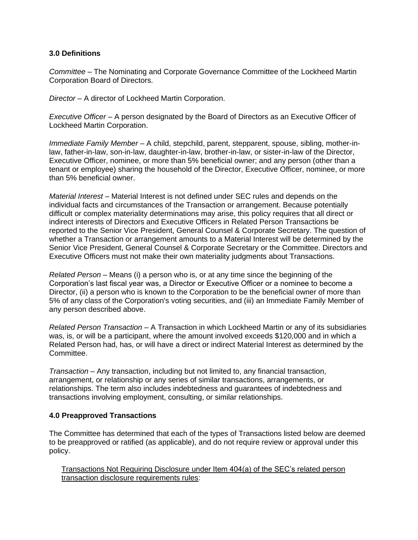### **3.0 Definitions**

*Committee –* The Nominating and Corporate Governance Committee of the Lockheed Martin Corporation Board of Directors.

*Director* – A director of Lockheed Martin Corporation.

*Executive Officer* – A person designated by the Board of Directors as an Executive Officer of Lockheed Martin Corporation.

*Immediate Family Member –* A child, stepchild, parent, stepparent, spouse, sibling, mother-inlaw, father-in-law, son-in-law, daughter-in-law, brother-in-law, or sister-in-law of the Director, Executive Officer, nominee, or more than 5% beneficial owner; and any person (other than a tenant or employee) sharing the household of the Director, Executive Officer, nominee, or more than 5% beneficial owner.

*Material Interest* – Material Interest is not defined under SEC rules and depends on the individual facts and circumstances of the Transaction or arrangement. Because potentially difficult or complex materiality determinations may arise, this policy requires that all direct or indirect interests of Directors and Executive Officers in Related Person Transactions be reported to the Senior Vice President, General Counsel & Corporate Secretary. The question of whether a Transaction or arrangement amounts to a Material Interest will be determined by the Senior Vice President, General Counsel & Corporate Secretary or the Committee. Directors and Executive Officers must not make their own materiality judgments about Transactions.

*Related Person* – Means (i) a person who is, or at any time since the beginning of the Corporation's last fiscal year was, a Director or Executive Officer or a nominee to become a Director, (ii) a person who is known to the Corporation to be the beneficial owner of more than 5% of any class of the Corporation's voting securities, and (iii) an Immediate Family Member of any person described above.

*Related Person Transaction –* A Transaction in which Lockheed Martin or any of its subsidiaries was, is, or will be a participant, where the amount involved exceeds \$120,000 and in which a Related Person had, has, or will have a direct or indirect Material Interest as determined by the Committee.

*Transaction* – Any transaction, including but not limited to, any financial transaction, arrangement, or relationship or any series of similar transactions, arrangements, or relationships. The term also includes indebtedness and guarantees of indebtedness and transactions involving employment, consulting, or similar relationships.

# **4.0 Preapproved Transactions**

The Committee has determined that each of the types of Transactions listed below are deemed to be preapproved or ratified (as applicable), and do not require review or approval under this policy.

Transactions Not Requiring Disclosure under Item 404(a) of the SEC's related person transaction disclosure requirements rules: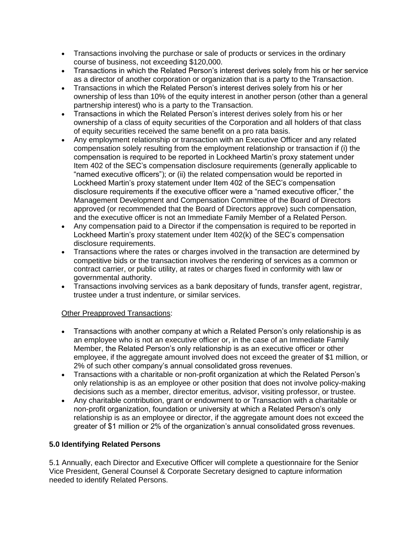- Transactions involving the purchase or sale of products or services in the ordinary course of business, not exceeding \$120,000.
- Transactions in which the Related Person's interest derives solely from his or her service as a director of another corporation or organization that is a party to the Transaction.
- Transactions in which the Related Person's interest derives solely from his or her ownership of less than 10% of the equity interest in another person (other than a general partnership interest) who is a party to the Transaction.
- Transactions in which the Related Person's interest derives solely from his or her ownership of a class of equity securities of the Corporation and all holders of that class of equity securities received the same benefit on a pro rata basis.
- Any employment relationship or transaction with an Executive Officer and any related compensation solely resulting from the employment relationship or transaction if (i) the compensation is required to be reported in Lockheed Martin's proxy statement under Item 402 of the SEC's compensation disclosure requirements (generally applicable to "named executive officers"); or (ii) the related compensation would be reported in Lockheed Martin's proxy statement under Item 402 of the SEC's compensation disclosure requirements if the executive officer were a "named executive officer," the Management Development and Compensation Committee of the Board of Directors approved (or recommended that the Board of Directors approve) such compensation, and the executive officer is not an Immediate Family Member of a Related Person.
- Any compensation paid to a Director if the compensation is required to be reported in Lockheed Martin's proxy statement under Item 402(k) of the SEC's compensation disclosure requirements.
- Transactions where the rates or charges involved in the transaction are determined by competitive bids or the transaction involves the rendering of services as a common or contract carrier, or public utility, at rates or charges fixed in conformity with law or governmental authority.
- Transactions involving services as a bank depositary of funds, transfer agent, registrar, trustee under a trust indenture, or similar services.

# Other Preapproved Transactions:

- Transactions with another company at which a Related Person's only relationship is as an employee who is not an executive officer or, in the case of an Immediate Family Member, the Related Person's only relationship is as an executive officer or other employee, if the aggregate amount involved does not exceed the greater of \$1 million, or 2% of such other company's annual consolidated gross revenues.
- Transactions with a charitable or non-profit organization at which the Related Person's only relationship is as an employee or other position that does not involve policy-making decisions such as a member, director emeritus, advisor, visiting professor, or trustee.
- Any charitable contribution, grant or endowment to or Transaction with a charitable or non-profit organization, foundation or university at which a Related Person's only relationship is as an employee or director, if the aggregate amount does not exceed the greater of \$1 million or 2% of the organization's annual consolidated gross revenues.

# **5.0 Identifying Related Persons**

5.1 Annually, each Director and Executive Officer will complete a questionnaire for the Senior Vice President, General Counsel & Corporate Secretary designed to capture information needed to identify Related Persons.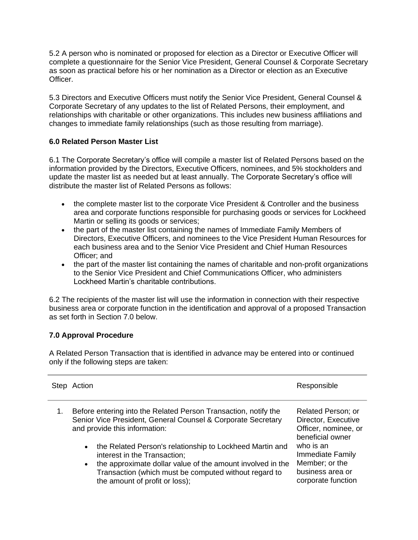5.2 A person who is nominated or proposed for election as a Director or Executive Officer will complete a questionnaire for the Senior Vice President, General Counsel & Corporate Secretary as soon as practical before his or her nomination as a Director or election as an Executive Officer.

5.3 Directors and Executive Officers must notify the Senior Vice President, General Counsel & Corporate Secretary of any updates to the list of Related Persons, their employment, and relationships with charitable or other organizations. This includes new business affiliations and changes to immediate family relationships (such as those resulting from marriage).

# **6.0 Related Person Master List**

6.1 The Corporate Secretary's office will compile a master list of Related Persons based on the information provided by the Directors, Executive Officers, nominees, and 5% stockholders and update the master list as needed but at least annually. The Corporate Secretary's office will distribute the master list of Related Persons as follows:

- the complete master list to the corporate Vice President & Controller and the business area and corporate functions responsible for purchasing goods or services for Lockheed Martin or selling its goods or services;
- the part of the master list containing the names of Immediate Family Members of Directors, Executive Officers, and nominees to the Vice President Human Resources for each business area and to the Senior Vice President and Chief Human Resources Officer; and
- the part of the master list containing the names of charitable and non-profit organizations to the Senior Vice President and Chief Communications Officer, who administers Lockheed Martin's charitable contributions.

6.2 The recipients of the master list will use the information in connection with their respective business area or corporate function in the identification and approval of a proposed Transaction as set forth in Section 7.0 below.

# **7.0 Approval Procedure**

A Related Person Transaction that is identified in advance may be entered into or continued only if the following steps are taken:

| Step | Action                                                                                                                                                                                                                                                                                                                                                                                                                                          | Responsible                                                                                                                                                                        |
|------|-------------------------------------------------------------------------------------------------------------------------------------------------------------------------------------------------------------------------------------------------------------------------------------------------------------------------------------------------------------------------------------------------------------------------------------------------|------------------------------------------------------------------------------------------------------------------------------------------------------------------------------------|
|      | Before entering into the Related Person Transaction, notify the<br>Senior Vice President, General Counsel & Corporate Secretary<br>and provide this information:<br>the Related Person's relationship to Lockheed Martin and<br>$\bullet$<br>interest in the Transaction;<br>the approximate dollar value of the amount involved in the<br>$\bullet$<br>Transaction (which must be computed without regard to<br>the amount of profit or loss); | Related Person; or<br>Director, Executive<br>Officer, nominee, or<br>beneficial owner<br>who is an<br>Immediate Family<br>Member; or the<br>business area or<br>corporate function |
|      |                                                                                                                                                                                                                                                                                                                                                                                                                                                 |                                                                                                                                                                                    |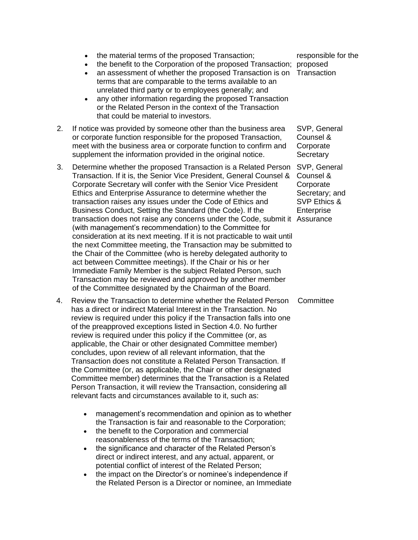- the material terms of the proposed Transaction;
- the benefit to the Corporation of the proposed Transaction; proposed
- an assessment of whether the proposed Transaction is on Transaction terms that are comparable to the terms available to an unrelated third party or to employees generally; and
- any other information regarding the proposed Transaction or the Related Person in the context of the Transaction that could be material to investors.
- 2. If notice was provided by someone other than the business area or corporate function responsible for the proposed Transaction, meet with the business area or corporate function to confirm and supplement the information provided in the original notice.
- 3. Determine whether the proposed Transaction is a Related Person SVP, General Transaction. If it is, the Senior Vice President, General Counsel & Corporate Secretary will confer with the Senior Vice President Ethics and Enterprise Assurance to determine whether the transaction raises any issues under the Code of Ethics and Business Conduct, Setting the Standard (the Code). If the transaction does not raise any concerns under the Code, submit it Assurance (with management's recommendation) to the Committee for consideration at its next meeting. If it is not practicable to wait until the next Committee meeting, the Transaction may be submitted to the Chair of the Committee (who is hereby delegated authority to act between Committee meetings). If the Chair or his or her Immediate Family Member is the subject Related Person, such Transaction may be reviewed and approved by another member of the Committee designated by the Chairman of the Board.
- 4. Review the Transaction to determine whether the Related Person has a direct or indirect Material Interest in the Transaction. No review is required under this policy if the Transaction falls into one of the preapproved exceptions listed in Section 4.0. No further review is required under this policy if the Committee (or, as applicable, the Chair or other designated Committee member) concludes, upon review of all relevant information, that the Transaction does not constitute a Related Person Transaction. If the Committee (or, as applicable, the Chair or other designated Committee member) determines that the Transaction is a Related Person Transaction, it will review the Transaction, considering all relevant facts and circumstances available to it, such as:
	- management's recommendation and opinion as to whether the Transaction is fair and reasonable to the Corporation;
	- the benefit to the Corporation and commercial reasonableness of the terms of the Transaction;
	- the significance and character of the Related Person's direct or indirect interest, and any actual, apparent, or potential conflict of interest of the Related Person;
	- the impact on the Director's or nominee's independence if the Related Person is a Director or nominee, an Immediate

responsible for the

SVP, General Counsel & **Corporate Secretary** 

Counsel & **Corporate** Secretary; and SVP Ethics & Enterprise

**Committee**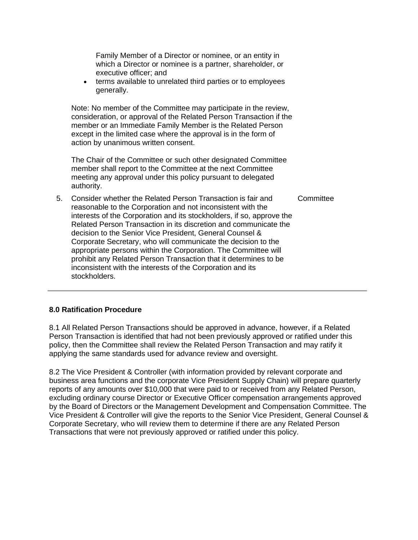Family Member of a Director or nominee, or an entity in which a Director or nominee is a partner, shareholder, or executive officer; and

• terms available to unrelated third parties or to employees generally.

Note: No member of the Committee may participate in the review, consideration, or approval of the Related Person Transaction if the member or an Immediate Family Member is the Related Person except in the limited case where the approval is in the form of action by unanimous written consent.

The Chair of the Committee or such other designated Committee member shall report to the Committee at the next Committee meeting any approval under this policy pursuant to delegated authority.

5. Consider whether the Related Person Transaction is fair and reasonable to the Corporation and not inconsistent with the interests of the Corporation and its stockholders, if so, approve the Related Person Transaction in its discretion and communicate the decision to the Senior Vice President, General Counsel & Corporate Secretary, who will communicate the decision to the appropriate persons within the Corporation. The Committee will prohibit any Related Person Transaction that it determines to be inconsistent with the interests of the Corporation and its stockholders. **Committee** 

# **8.0 Ratification Procedure**

8.1 All Related Person Transactions should be approved in advance, however, if a Related Person Transaction is identified that had not been previously approved or ratified under this policy, then the Committee shall review the Related Person Transaction and may ratify it applying the same standards used for advance review and oversight.

8.2 The Vice President & Controller (with information provided by relevant corporate and business area functions and the corporate Vice President Supply Chain) will prepare quarterly reports of any amounts over \$10,000 that were paid to or received from any Related Person, excluding ordinary course Director or Executive Officer compensation arrangements approved by the Board of Directors or the Management Development and Compensation Committee. The Vice President & Controller will give the reports to the Senior Vice President, General Counsel & Corporate Secretary, who will review them to determine if there are any Related Person Transactions that were not previously approved or ratified under this policy.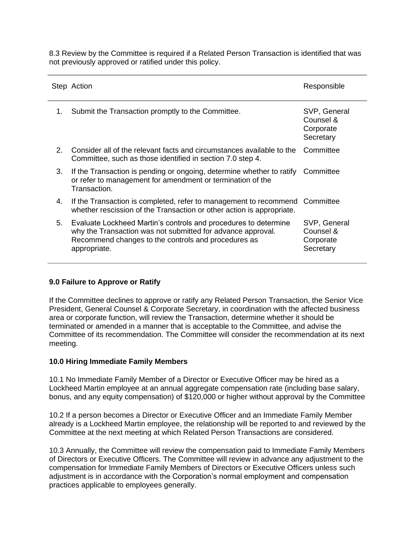8.3 Review by the Committee is required if a Related Person Transaction is identified that was not previously approved or ratified under this policy.

|    | Step Action                                                                                                                                                                                           | Responsible                                         |
|----|-------------------------------------------------------------------------------------------------------------------------------------------------------------------------------------------------------|-----------------------------------------------------|
| 1. | Submit the Transaction promptly to the Committee.                                                                                                                                                     | SVP, General<br>Counsel &<br>Corporate<br>Secretary |
| 2. | Consider all of the relevant facts and circumstances available to the<br>Committee, such as those identified in section 7.0 step 4.                                                                   | Committee                                           |
| 3. | If the Transaction is pending or ongoing, determine whether to ratify Committee<br>or refer to management for amendment or termination of the<br>Transaction.                                         |                                                     |
| 4. | If the Transaction is completed, refer to management to recommend<br>whether rescission of the Transaction or other action is appropriate.                                                            | Committee                                           |
| 5. | Evaluate Lockheed Martin's controls and procedures to determine<br>why the Transaction was not submitted for advance approval.<br>Recommend changes to the controls and procedures as<br>appropriate. | SVP, General<br>Counsel &<br>Corporate<br>Secretary |

#### **9.0 Failure to Approve or Ratify**

If the Committee declines to approve or ratify any Related Person Transaction, the Senior Vice President, General Counsel & Corporate Secretary, in coordination with the affected business area or corporate function, will review the Transaction, determine whether it should be terminated or amended in a manner that is acceptable to the Committee, and advise the Committee of its recommendation. The Committee will consider the recommendation at its next meeting.

#### **10.0 Hiring Immediate Family Members**

10.1 No Immediate Family Member of a Director or Executive Officer may be hired as a Lockheed Martin employee at an annual aggregate compensation rate (including base salary, bonus, and any equity compensation) of \$120,000 or higher without approval by the Committee

10.2 If a person becomes a Director or Executive Officer and an Immediate Family Member already is a Lockheed Martin employee, the relationship will be reported to and reviewed by the Committee at the next meeting at which Related Person Transactions are considered.

10.3 Annually, the Committee will review the compensation paid to Immediate Family Members of Directors or Executive Officers. The Committee will review in advance any adjustment to the compensation for Immediate Family Members of Directors or Executive Officers unless such adjustment is in accordance with the Corporation's normal employment and compensation practices applicable to employees generally.